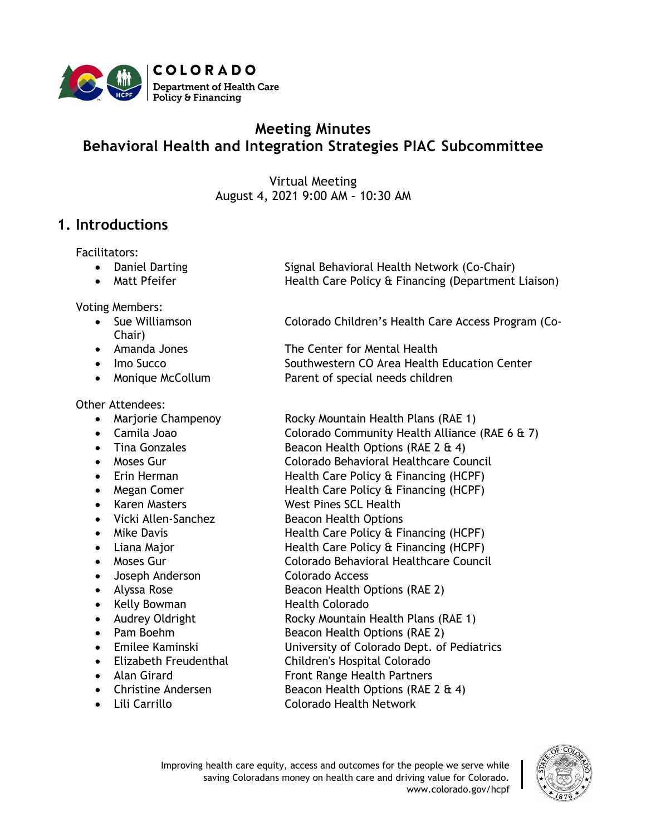

# **Meeting Minutes Behavioral Health and Integration Strategies PIAC Subcommittee**

Virtual Meeting August 4, 2021 9:00 AM – 10:30 AM

# **1. Introductions**

Facilitators:

- 
- 

Voting Members:

- Chair)
- 
- 
- 

Other Attendees:

- 
- 
- 
- 
- 
- 
- 
- Vicki Allen-Sanchez Beacon Health Options
- 
- 
- 
- Joseph Anderson Colorado Access
- 
- 
- 
- 
- 
- 
- 
- 
- 

• Daniel Darting Signal Behavioral Health Network (Co-Chair) • Matt Pfeifer **Health Care Policy & Financing (Department Liaison)** 

• Sue Williamson Colorado Children's Health Care Access Program (Co-

• Amanda Jones The Center for Mental Health • Imo Succo Southwestern CO Area Health Education Center • Monique McCollum Parent of special needs children

• Marjorie Champenoy Rocky Mountain Health Plans (RAE 1)

- Camila Joao Colorado Community Health Alliance (RAE 6 & 7) • Tina Gonzales Beacon Health Options (RAE 2 & 4)
- Moses Gur Colorado Behavioral Healthcare Council • Erin Herman **Health Care Policy & Financing (HCPF)**
- Megan Comer **Health Care Policy & Financing (HCPF)** 
	- Karen Masters West Pines SCL Health
		-
- Mike Davis **Health Care Policy & Financing (HCPF)**
- Liana Major **Health Care Policy & Financing (HCPF)**
- Moses Gur Colorado Behavioral Healthcare Council
	-
- Alyssa Rose Beacon Health Options (RAE 2)
- Kelly Bowman Health Colorado
- Audrey Oldright **Rocky Mountain Health Plans (RAE 1)** 
	- **Pam Boehm Beacon Health Options (RAE 2)**
- Emilee Kaminski University of Colorado Dept. of Pediatrics
- Elizabeth Freudenthal Children's Hospital Colorado
- Alan Girard **Front Range Health Partners**
- Christine Andersen Beacon Health Options (RAE 2 & 4)
- Lili Carrillo Colorado Health Network

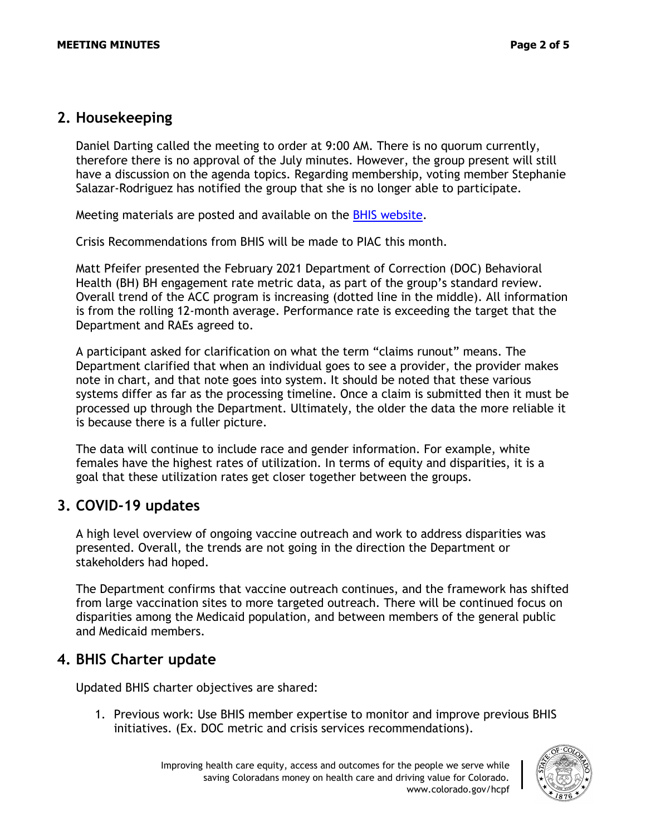#### **2. Housekeeping**

Daniel Darting called the meeting to order at 9:00 AM. There is no quorum currently, therefore there is no approval of the July minutes. However, the group present will still have a discussion on the agenda topics. Regarding membership, voting member Stephanie Salazar-Rodriguez has notified the group that she is no longer able to participate.

Meeting materials are posted and available on the [BHIS website.](https://hcpf.colorado.gov/behavioral-health-and-integration-strategies-subcommittee)

Crisis Recommendations from BHIS will be made to PIAC this month.

Matt Pfeifer presented the February 2021 Department of Correction (DOC) Behavioral Health (BH) BH engagement rate metric data, as part of the group's standard review. Overall trend of the ACC program is increasing (dotted line in the middle). All information is from the rolling 12-month average. Performance rate is exceeding the target that the Department and RAEs agreed to.

A participant asked for clarification on what the term "claims runout" means. The Department clarified that when an individual goes to see a provider, the provider makes note in chart, and that note goes into system. It should be noted that these various systems differ as far as the processing timeline. Once a claim is submitted then it must be processed up through the Department. Ultimately, the older the data the more reliable it is because there is a fuller picture.

The data will continue to include race and gender information. For example, white females have the highest rates of utilization. In terms of equity and disparities, it is a goal that these utilization rates get closer together between the groups.

### **3. COVID-19 updates**

A high level overview of ongoing vaccine outreach and work to address disparities was presented. Overall, the trends are not going in the direction the Department or stakeholders had hoped.

The Department confirms that vaccine outreach continues, and the framework has shifted from large vaccination sites to more targeted outreach. There will be continued focus on disparities among the Medicaid population, and between members of the general public and Medicaid members.

### **4. BHIS Charter update**

Updated BHIS charter objectives are shared:

1. Previous work: Use BHIS member expertise to monitor and improve previous BHIS initiatives. (Ex. DOC metric and crisis services recommendations).

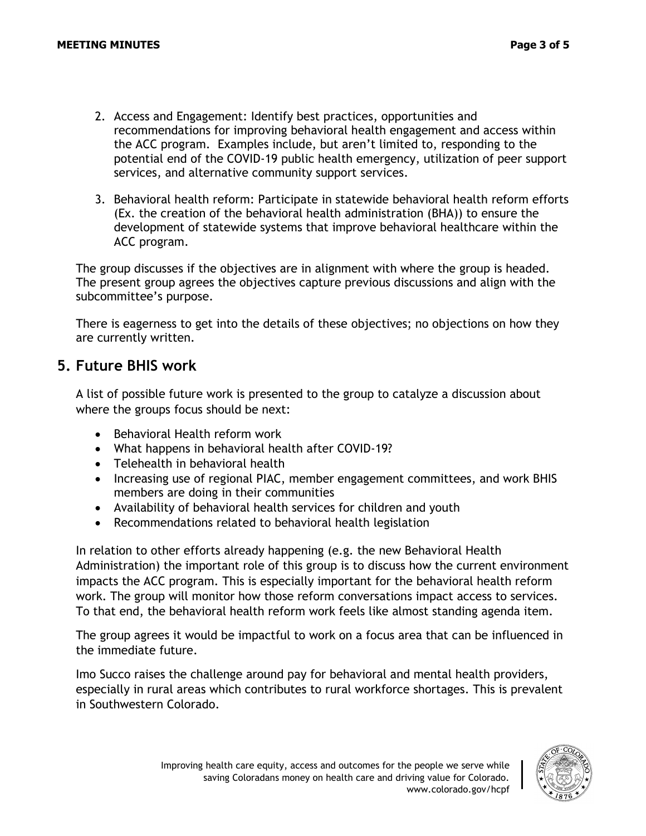- 2. Access and Engagement: Identify best practices, opportunities and recommendations for improving behavioral health engagement and access within the ACC program. Examples include, but aren't limited to, responding to the potential end of the COVID-19 public health emergency, utilization of peer support services, and alternative community support services.
- 3. Behavioral health reform: Participate in statewide behavioral health reform efforts (Ex. the creation of the behavioral health administration (BHA)) to ensure the development of statewide systems that improve behavioral healthcare within the ACC program.

The group discusses if the objectives are in alignment with where the group is headed. The present group agrees the objectives capture previous discussions and align with the subcommittee's purpose.

There is eagerness to get into the details of these objectives; no objections on how they are currently written.

#### **5. Future BHIS work**

A list of possible future work is presented to the group to catalyze a discussion about where the groups focus should be next:

- Behavioral Health reform work
- What happens in behavioral health after COVID-19?
- Telehealth in behavioral health
- Increasing use of regional PIAC, member engagement committees, and work BHIS members are doing in their communities
- Availability of behavioral health services for children and youth
- Recommendations related to behavioral health legislation

In relation to other efforts already happening (e.g. the new Behavioral Health Administration) the important role of this group is to discuss how the current environment impacts the ACC program. This is especially important for the behavioral health reform work. The group will monitor how those reform conversations impact access to services. To that end, the behavioral health reform work feels like almost standing agenda item.

The group agrees it would be impactful to work on a focus area that can be influenced in the immediate future.

Imo Succo raises the challenge around pay for behavioral and mental health providers, especially in rural areas which contributes to rural workforce shortages. This is prevalent in Southwestern Colorado.

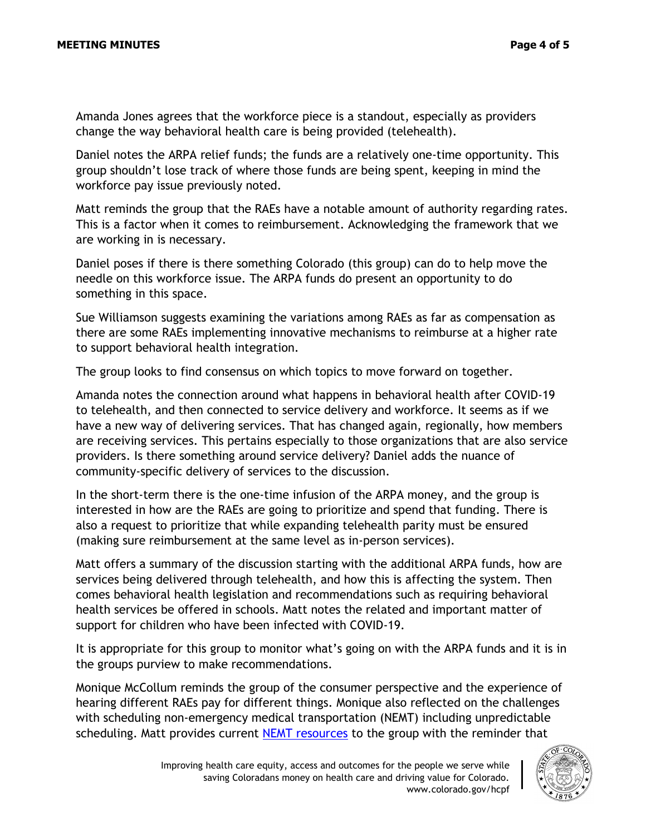Amanda Jones agrees that the workforce piece is a standout, especially as providers change the way behavioral health care is being provided (telehealth).

Daniel notes the ARPA relief funds; the funds are a relatively one-time opportunity. This group shouldn't lose track of where those funds are being spent, keeping in mind the workforce pay issue previously noted.

Matt reminds the group that the RAEs have a notable amount of authority regarding rates. This is a factor when it comes to reimbursement. Acknowledging the framework that we are working in is necessary.

Daniel poses if there is there something Colorado (this group) can do to help move the needle on this workforce issue. The ARPA funds do present an opportunity to do something in this space.

Sue Williamson suggests examining the variations among RAEs as far as compensation as there are some RAEs implementing innovative mechanisms to reimburse at a higher rate to support behavioral health integration.

The group looks to find consensus on which topics to move forward on together.

Amanda notes the connection around what happens in behavioral health after COVID-19 to telehealth, and then connected to service delivery and workforce. It seems as if we have a new way of delivering services. That has changed again, regionally, how members are receiving services. This pertains especially to those organizations that are also service providers. Is there something around service delivery? Daniel adds the nuance of community-specific delivery of services to the discussion.

In the short-term there is the one-time infusion of the ARPA money, and the group is interested in how are the RAEs are going to prioritize and spend that funding. There is also a request to prioritize that while expanding telehealth parity must be ensured (making sure reimbursement at the same level as in-person services).

Matt offers a summary of the discussion starting with the additional ARPA funds, how are services being delivered through telehealth, and how this is affecting the system. Then comes behavioral health legislation and recommendations such as requiring behavioral health services be offered in schools. Matt notes the related and important matter of support for children who have been infected with COVID-19.

It is appropriate for this group to monitor what's going on with the ARPA funds and it is in the groups purview to make recommendations.

Monique McCollum reminds the group of the consumer perspective and the experience of hearing different RAEs pay for different things. Monique also reflected on the challenges with scheduling non-emergency medical transportation (NEMT) including unpredictable scheduling. Matt provides current [NEMT resources](https://hcpf.colorado.gov/non-emergent-medical-transportation) to the group with the reminder that